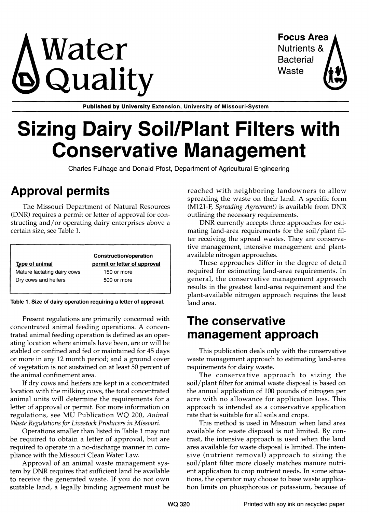# $\mathsf{Water}$  Focus Area Nutrients & Quality waste

**Bacterial** 

Published by University Extension, University of Missouri-System

# Sizing Dairy Soil/Plant Filters with Conservative Management

Charles Fulhage and Donald Pfost, Department of Agricultural Engineering

## Approval permits

The Missouri Department of Natural Resources (DNR) requires a permit or letter of approval for constructing and/or operating dairy enterprises above a certain size, see Table 1.

|                             | Construction/operation       |  |  |
|-----------------------------|------------------------------|--|--|
| <b>Type of animal</b>       | permit or letter of approval |  |  |
| Mature lactating dairy cows | 150 or more                  |  |  |
| Dry cows and heifers        | 500 or more                  |  |  |

Table 1. Size of dairy operation requiring a letter of approval.

Present regulations are primarily concerned with concentrated animal feeding operations. A concentrated animal feeding operation is defined as an operating location where animals have been, are or will be stabled or confined and fed or maintained for 45 days or more in any 12 month period; and a ground cover of vegetation is not sustained on at least 50 percent of the animal confinement area.

If dry cows and heifers are kept in a concentrated location with the milking cows, the total concentrated animal units will determine the requirements for a letter of approval or permit. For more information on regulations, see MU Publication WQ 200, *Animal Waste Regulations for Livestock Producers in Missouri.* 

Operations smaller than listed in Table 1 may not be required to obtain a letter of approval, but are required to operate in a no-discharge manner in compliance with the Missouri Clean Water Law.

Approval of an animal waste management system by DNR requires that sufficient land be available to receive the generated waste. If you do not own suitable land, a legally binding agreement must be reached with neighboring landowners to allow spreading the waste on their land. A specific form (M121-F, *Spreading Agreement)* is available from DNR outlining the necessary requirements.

DNR currently accepts three approaches for estimating land-area requirements for the soil/plant filter receiving the spread wastes. They are conservative management, intensive management and plantavailable nitrogen approaches.

These approaches differ in the degree of detail required for estimating land-area requirements. In general, the conservative management approach results in the greatest land-area requirement and the plant-available nitrogen approach requires the least land area.

#### The conservative management approach

This publication deals only with the conservative waste management approach to estimating land-area requirements for dairy waste.

The conservative approach to sizing the soil/plant filter for animal waste disposal is based on the annual application of 100 pounds of nitrogen per acre with no allowance for application loss. This approach is intended as a conservative application rate that is suitable for all soils and crops.

This method is used in Missouri when land area available for waste disposal is not limited. By contrast, the intensive approach is used when the land area available for waste disposal is limited. The intensive (nutrient removal) approach to sizing the soil/plant filter more closely matches manure nutrient application to crop nutrient needs. In some situations, the operator may choose to base waste application limits on phosphorous or potassium, because of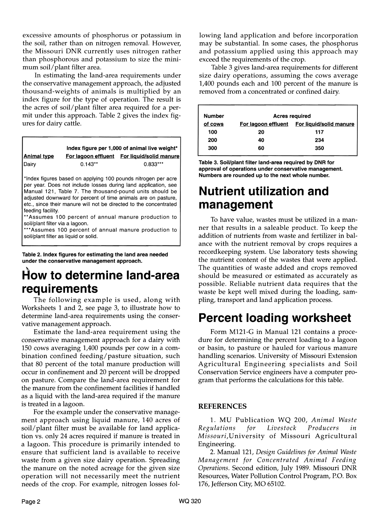excessive amounts of phosphorus or potassium in the soil, rather than on nitrogen removal. However, the Missouri DNR currently uses nitrogen rather than phosphorous and potassium to size the minimum soil/plant filter area.

In estimating the land-area requirements under the conservative management approach, the adjusted thousand-weights of animals is multiplied by an index figure for the type of operation. The result is the acres of soil/plant filter area required for a permit under this approach. Table 2 gives the index figures for dairy cattle.

| Index figure per 1,000 of animal live weight*                                                 |           |                                                                                                                                                                                                                                                                                                                                                                                                                                                    |  |  |  |
|-----------------------------------------------------------------------------------------------|-----------|----------------------------------------------------------------------------------------------------------------------------------------------------------------------------------------------------------------------------------------------------------------------------------------------------------------------------------------------------------------------------------------------------------------------------------------------------|--|--|--|
| Animal type                                                                                   |           | For lagoon effluent For liquid/solid manure                                                                                                                                                                                                                                                                                                                                                                                                        |  |  |  |
| Dairy                                                                                         | $0.143**$ | $0.833***$                                                                                                                                                                                                                                                                                                                                                                                                                                         |  |  |  |
| feeding facility.<br>soil/plant filter via a lagoon.<br>soil/plant filter as liquid or solid. |           | *Index figures based on applying 100 pounds nitrogen per acre<br>per year. Does not include losses during land application, see<br>Manual 121, Table 7. The thousand-pound units should be<br>adjusted downward for percent of time animals are on pasture,<br>etc., since their manure will not be directed to the concentrated<br>**Assumes 100 percent of annual manure production to<br>*** Assumes 100 percent of annual manure production to |  |  |  |

Table 2. Index figures for estimating the land area needed under the conservative management approach.

#### How to determine land-area requirements

The following example is used, along with Worksheets 1 and 2, see page 3, to illustrate how to determine land-area requirements using the conservative management approach.

Estimate the land-area requirement using the conservative management approach for a dairy with 150 cows averaging 1,400 pounds per cow in a combination confined feeding/pasture situation, such that 80 percent of the total manure production will occur in confinement and 20 percent will be dropped on pasture. Compare the land-area requirement for the manure from the confinement facilities if handled as a liquid with the land-area required if the manure is treated in a lagoon.

For the example under the conservative management approach using liquid manure, 140 acres of soil/plant filter must be available for land application vs. only 24 acres required if manure is treated in a lagoon. This procedure is primarily intended to ensure that sufficient land is available to receive waste from a given size dairy operation. Spreading the manure on the noted acreage for the given size operation will not necessarily meet the nutrient needs of the crop. For example, nitrogen losses following land application and before incorporation may be substantial. In some cases, the phosphorus and potassium applied using this approach may exceed the requirements of the crop.

Table 3 gives land-area requirements for different size dairy operations, assuming the cows average 1,400 pounds each and 100 percent of the manure is removed from a concentrated or confined dairy.

| <b>Number</b> |                     | <b>Acres required</b>   |  |  |  |
|---------------|---------------------|-------------------------|--|--|--|
| of cows       | For lagoon effluent | For liquid/solid manure |  |  |  |
| 100           | 20                  | 117                     |  |  |  |
| 200           | 40                  | 234                     |  |  |  |
| 300           | 60                  | 350                     |  |  |  |
|               |                     |                         |  |  |  |

Table 3. Soil/plant filter land-area required by DNR for approval of operations under conservative management. Numbers are rounded up to the next whole number.

#### **Nutrient utilization** and management

To have value, wastes must be utilized in a manner that results in a saleable product. To keep the addition of nutrients from waste and fertilizer in balance with the nutrient removal by crops requires a recordkeeping system. Use laboratory tests showing the nutrient content of the wastes that were applied. The quantities of waste added and crops removed should be measured or estimated as accurately as possible. Reliable nutrient data requires that the waste be kept well mixed during the loading, sampling, transport and land application process.

#### Percent loading worksheet

Form M121-G in Manual 121 contains a procedure for determining the percent loading to a lagoon or basin, to pasture or hauled for various manure handling scenarios. University of Missouri Extension Agricultural Engineering specialists and Soil Conservation Service engineers have a computer program that performs the calculations for this table.

#### REFERENCES

1. MU Publication WQ 200, *Animal Waste Regulations for Livestock Producers in Missou ri,*University of Missouri Agricultural Engineering.

2. Manual 121, *Design Guidelines for Animal Waste Management for Concentrated Animal Feeding Operations.* Second edition, July 1989. Missouri DNR Resources, Water Pollution Control Program, P.O. Box 176, Jefferson City, MO 65102.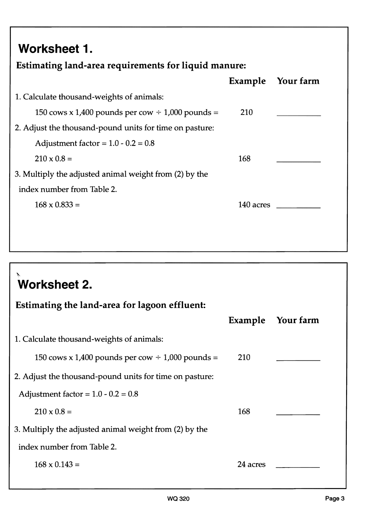## Worksheet 1.

#### Estimating land-area requirements for liquid manure:

|                                                         | <b>Example</b> | Your farm |
|---------------------------------------------------------|----------------|-----------|
| 1. Calculate thousand-weights of animals:               |                |           |
| 150 cows x 1,400 pounds per cow $\div$ 1,000 pounds =   | 210            |           |
| 2. Adjust the thousand-pound units for time on pasture: |                |           |
| Adjustment factor = $1.0 - 0.2 = 0.8$                   |                |           |
| $210 \times 0.8 =$                                      | 168            |           |
| 3. Multiply the adjusted animal weight from (2) by the  |                |           |
| index number from Table 2.                              |                |           |
| $168 \times 0.833 =$                                    | 140 acres      |           |
|                                                         |                |           |
|                                                         |                |           |

## ~. Worksheet 2. Estimating the land-area for lagoon effluent: Example Your farm 1. Calculate thousand-weights of animals: 150 cows x 1,400 pounds per cow  $\div$  1,000 pounds = 210 2. Adjust the thousand-pound units for time on pasture: Adjustment factor =  $1.0 - 0.2 = 0.8$  $210 \times 0.8 = 168$ 3. Multiply the adjusted animal weight from (2) by the index number from Table 2.  $168 \times 0.143 = 24 \text{ acres}$